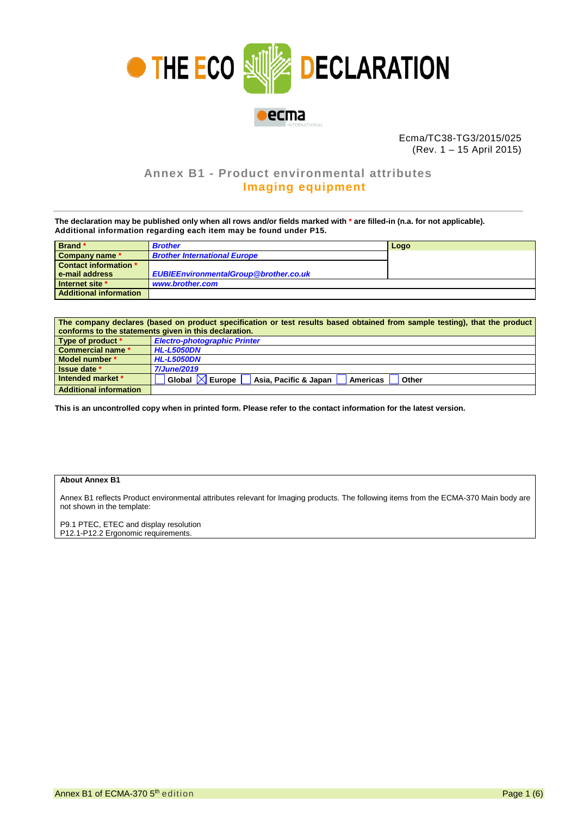

Ecma/TC38-TG3/2015/025 (Rev. 1 – 15 April 2015)

## **Annex B1 - Product environmental attributes Imaging equipment**

**The declaration may be published only when all rows and/or fields marked with \* are filled-in (n.a. for not applicable). Additional information regarding each item may be found under P15.**

| Brand *                       | <b>Brother</b>                               | Logo |
|-------------------------------|----------------------------------------------|------|
| Company name *                | <b>Brother International Europe</b>          |      |
| Contact information *         |                                              |      |
| e-mail address                | <b>EUBIEEnvironmentalGroup@brother.co.uk</b> |      |
| Internet site *               | www.brother.com                              |      |
| <b>Additional information</b> |                                              |      |

| The company declares (based on product specification or test results based obtained from sample testing), that the product |                                                                                |  |  |  |  |  |
|----------------------------------------------------------------------------------------------------------------------------|--------------------------------------------------------------------------------|--|--|--|--|--|
| conforms to the statements given in this declaration.                                                                      |                                                                                |  |  |  |  |  |
| Type of product *                                                                                                          | <b>Electro-photographic Printer</b>                                            |  |  |  |  |  |
| <b>Commercial name *</b>                                                                                                   | <b>HL-L5050DN</b>                                                              |  |  |  |  |  |
| Model number *                                                                                                             | <b>HL-L5050DN</b>                                                              |  |  |  |  |  |
| <b>Issue date</b> *                                                                                                        | <b>7/June/2019</b>                                                             |  |  |  |  |  |
| Intended market *                                                                                                          | Global $\mathbb K$<br>√ Europe I<br>Asia, Pacific & Japan<br>Americas<br>Other |  |  |  |  |  |
| <b>Additional information</b>                                                                                              |                                                                                |  |  |  |  |  |

**This is an uncontrolled copy when in printed form. Please refer to the contact information for the latest version.**

## **About Annex B1**

Annex B1 reflects Product environmental attributes relevant for Imaging products. The following items from the ECMA-370 Main body are not shown in the template:

P9.1 PTEC, ETEC and display resolution P12.1-P12.2 Ergonomic requirements.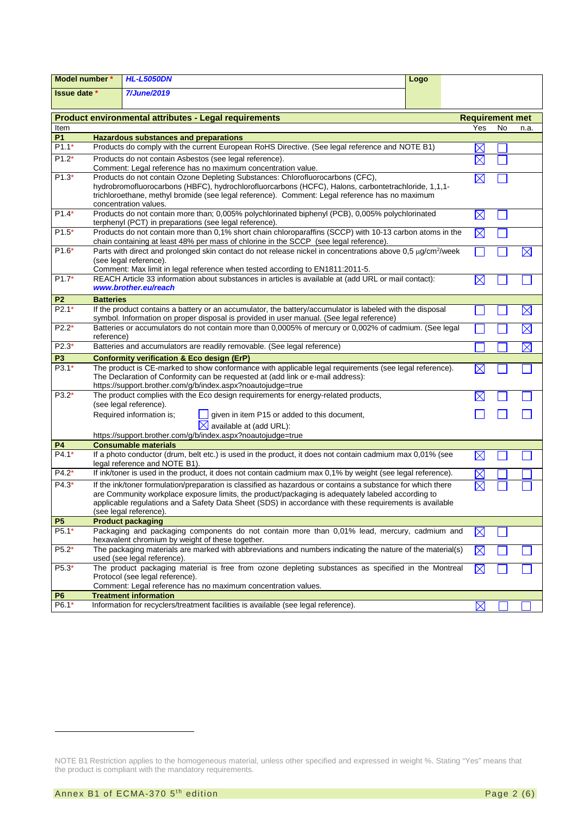| Model number *                                               |                                                                                                                                                                                                                                                                                                                                 | <b>HL-L5050DN</b>                                                                                                                                                                                                                                        | Logo |             |    |             |
|--------------------------------------------------------------|---------------------------------------------------------------------------------------------------------------------------------------------------------------------------------------------------------------------------------------------------------------------------------------------------------------------------------|----------------------------------------------------------------------------------------------------------------------------------------------------------------------------------------------------------------------------------------------------------|------|-------------|----|-------------|
| 7/June/2019<br><b>Issue date</b> *                           |                                                                                                                                                                                                                                                                                                                                 |                                                                                                                                                                                                                                                          |      |             |    |             |
| <b>Product environmental attributes - Legal requirements</b> | <b>Requirement met</b>                                                                                                                                                                                                                                                                                                          |                                                                                                                                                                                                                                                          |      |             |    |             |
| Item                                                         |                                                                                                                                                                                                                                                                                                                                 |                                                                                                                                                                                                                                                          |      | Yes         | No | n.a.        |
| <b>P1</b>                                                    |                                                                                                                                                                                                                                                                                                                                 | <b>Hazardous substances and preparations</b>                                                                                                                                                                                                             |      |             |    |             |
| $P1.1*$                                                      |                                                                                                                                                                                                                                                                                                                                 | Products do comply with the current European RoHS Directive. (See legal reference and NOTE B1)                                                                                                                                                           |      |             |    |             |
| $P1.2*$                                                      |                                                                                                                                                                                                                                                                                                                                 | Products do not contain Asbestos (see legal reference).<br>Comment: Legal reference has no maximum concentration value.                                                                                                                                  |      |             |    |             |
| $P1.3*$                                                      |                                                                                                                                                                                                                                                                                                                                 |                                                                                                                                                                                                                                                          |      |             |    |             |
|                                                              | Products do not contain Ozone Depleting Substances: Chlorofluorocarbons (CFC),<br>$\boxtimes$<br>hydrobromofluorocarbons (HBFC), hydrochlorofluorcarbons (HCFC), Halons, carbontetrachloride, 1,1,1-<br>trichloroethane, methyl bromide (see legal reference). Comment: Legal reference has no maximum<br>concentration values. |                                                                                                                                                                                                                                                          |      |             |    |             |
| $P1.4*$                                                      |                                                                                                                                                                                                                                                                                                                                 | Products do not contain more than; 0,005% polychlorinated biphenyl (PCB), 0,005% polychlorinated<br>terphenyl (PCT) in preparations (see legal reference).                                                                                               |      | $\boxtimes$ |    |             |
| $P1.5*$                                                      |                                                                                                                                                                                                                                                                                                                                 | Products do not contain more than 0,1% short chain chloroparaffins (SCCP) with 10-13 carbon atoms in the<br>chain containing at least 48% per mass of chlorine in the SCCP (see legal reference).                                                        |      | $\boxtimes$ |    |             |
| $P1.6*$                                                      |                                                                                                                                                                                                                                                                                                                                 | Parts with direct and prolonged skin contact do not release nickel in concentrations above 0,5 µg/cm <sup>2</sup> /week                                                                                                                                  |      |             |    | $\boxtimes$ |
|                                                              |                                                                                                                                                                                                                                                                                                                                 | (see legal reference).                                                                                                                                                                                                                                   |      |             |    |             |
|                                                              |                                                                                                                                                                                                                                                                                                                                 | Comment: Max limit in legal reference when tested according to EN1811:2011-5.                                                                                                                                                                            |      |             |    |             |
| $P1.7*$                                                      |                                                                                                                                                                                                                                                                                                                                 | REACH Article 33 information about substances in articles is available at (add URL or mail contact):                                                                                                                                                     |      | IX          |    |             |
|                                                              |                                                                                                                                                                                                                                                                                                                                 | www.brother.eu/reach                                                                                                                                                                                                                                     |      |             |    |             |
| P <sub>2</sub>                                               | <b>Batteries</b>                                                                                                                                                                                                                                                                                                                |                                                                                                                                                                                                                                                          |      |             |    |             |
| $P2.1*$                                                      |                                                                                                                                                                                                                                                                                                                                 | If the product contains a battery or an accumulator, the battery/accumulator is labeled with the disposal<br>symbol. Information on proper disposal is provided in user manual. (See legal reference)                                                    |      |             |    | $\boxtimes$ |
| $P2.2*$                                                      |                                                                                                                                                                                                                                                                                                                                 | Batteries or accumulators do not contain more than 0,0005% of mercury or 0,002% of cadmium. (See legal                                                                                                                                                   |      |             |    | $\boxtimes$ |
|                                                              | reference)                                                                                                                                                                                                                                                                                                                      |                                                                                                                                                                                                                                                          |      |             |    |             |
| $P2.3*$                                                      |                                                                                                                                                                                                                                                                                                                                 | Batteries and accumulators are readily removable. (See legal reference)                                                                                                                                                                                  |      |             |    | $\boxtimes$ |
| P <sub>3</sub>                                               |                                                                                                                                                                                                                                                                                                                                 | <b>Conformity verification &amp; Eco design (ErP)</b>                                                                                                                                                                                                    |      |             |    |             |
| $P3.1*$                                                      |                                                                                                                                                                                                                                                                                                                                 | The product is CE-marked to show conformance with applicable legal requirements (see legal reference).<br>The Declaration of Conformity can be requested at (add link or e-mail address):<br>https://support.brother.com/g/b/index.aspx?noautojudge=true |      |             |    |             |
| $P3.2*$                                                      |                                                                                                                                                                                                                                                                                                                                 | The product complies with the Eco design requirements for energy-related products,<br>(see legal reference).                                                                                                                                             |      |             |    |             |
|                                                              |                                                                                                                                                                                                                                                                                                                                 | Required information is;<br>given in item P15 or added to this document,                                                                                                                                                                                 |      |             |    |             |
|                                                              |                                                                                                                                                                                                                                                                                                                                 | $\boxtimes$ available at (add URL):                                                                                                                                                                                                                      |      |             |    |             |
|                                                              |                                                                                                                                                                                                                                                                                                                                 | https://support.brother.com/g/b/index.aspx?noautojudge=true                                                                                                                                                                                              |      |             |    |             |
| P4                                                           |                                                                                                                                                                                                                                                                                                                                 | <b>Consumable materials</b>                                                                                                                                                                                                                              |      |             |    |             |
| $P4.1*$                                                      |                                                                                                                                                                                                                                                                                                                                 | If a photo conductor (drum, belt etc.) is used in the product, it does not contain cadmium max 0,01% (see<br>legal reference and NOTE B1).                                                                                                               |      | $\boxtimes$ |    |             |
| $P4.2*$                                                      |                                                                                                                                                                                                                                                                                                                                 | If ink/toner is used in the product, it does not contain cadmium max 0,1% by weight (see legal reference).                                                                                                                                               |      |             |    |             |
| $P4.3*$                                                      |                                                                                                                                                                                                                                                                                                                                 | If the ink/toner formulation/preparation is classified as hazardous or contains a substance for which there                                                                                                                                              |      |             |    |             |
|                                                              |                                                                                                                                                                                                                                                                                                                                 | are Community workplace exposure limits, the product/packaging is adequately labeled according to<br>applicable regulations and a Safety Data Sheet (SDS) in accordance with these requirements is available<br>(see legal reference).                   |      |             |    |             |
| <b>P5</b>                                                    |                                                                                                                                                                                                                                                                                                                                 | <b>Product packaging</b>                                                                                                                                                                                                                                 |      |             |    |             |
| P5.1*                                                        |                                                                                                                                                                                                                                                                                                                                 | Packaging and packaging components do not contain more than 0,01% lead, mercury, cadmium and<br>hexavalent chromium by weight of these together.                                                                                                         |      | $\bowtie$   |    |             |
| $P5.2*$                                                      |                                                                                                                                                                                                                                                                                                                                 | The packaging materials are marked with abbreviations and numbers indicating the nature of the material(s)<br>used (see legal reference).                                                                                                                |      | $\boxtimes$ |    |             |
| P5.3*                                                        |                                                                                                                                                                                                                                                                                                                                 | The product packaging material is free from ozone depleting substances as specified in the Montreal                                                                                                                                                      |      | $\boxtimes$ |    |             |
|                                                              | Protocol (see legal reference).                                                                                                                                                                                                                                                                                                 |                                                                                                                                                                                                                                                          |      |             |    |             |
|                                                              |                                                                                                                                                                                                                                                                                                                                 | Comment: Legal reference has no maximum concentration values.                                                                                                                                                                                            |      |             |    |             |
| P <sub>6</sub>                                               |                                                                                                                                                                                                                                                                                                                                 | <b>Treatment information</b>                                                                                                                                                                                                                             |      |             |    |             |
| P6.1*                                                        |                                                                                                                                                                                                                                                                                                                                 | Information for recyclers/treatment facilities is available (see legal reference).                                                                                                                                                                       |      | $\boxtimes$ |    |             |

<span id="page-1-1"></span><span id="page-1-0"></span>NOTE B1 Restriction applies to the homogeneous material, unless other specified and expressed in weight %. Stating "Yes" means that the product is compliant with the mandatory requirements.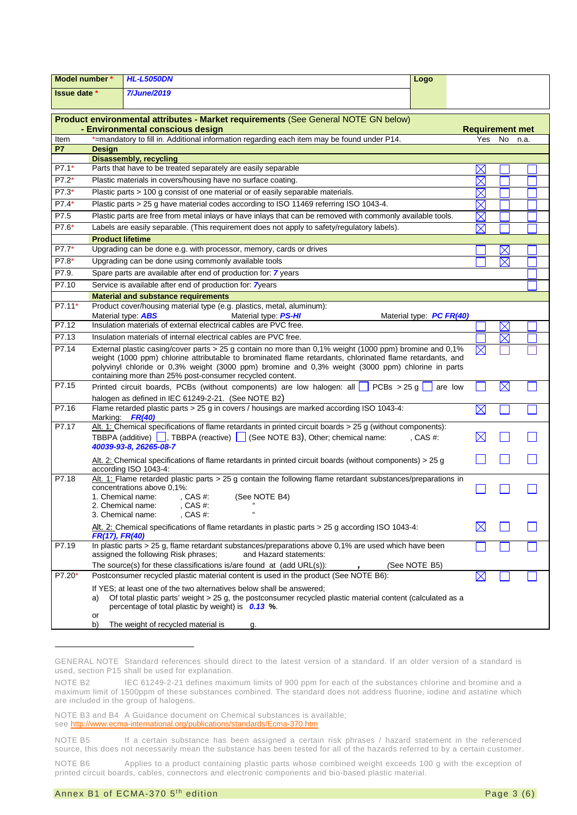| Model number *    |                                                                                                                                                          | <b>HL-L5050DN</b>                                                                                                                                                                                                                                                                                                                                                                     | Logo                     |                            |             |  |
|-------------------|----------------------------------------------------------------------------------------------------------------------------------------------------------|---------------------------------------------------------------------------------------------------------------------------------------------------------------------------------------------------------------------------------------------------------------------------------------------------------------------------------------------------------------------------------------|--------------------------|----------------------------|-------------|--|
| Issue date *      |                                                                                                                                                          | <b>7/June/2019</b>                                                                                                                                                                                                                                                                                                                                                                    |                          |                            |             |  |
|                   |                                                                                                                                                          |                                                                                                                                                                                                                                                                                                                                                                                       |                          |                            |             |  |
|                   |                                                                                                                                                          | Product environmental attributes - Market requirements (See General NOTE GN below)                                                                                                                                                                                                                                                                                                    |                          |                            |             |  |
|                   | - Environmental conscious design<br><b>Requirement met</b><br>*=mandatory to fill in. Additional information regarding each item may be found under P14. |                                                                                                                                                                                                                                                                                                                                                                                       |                          |                            |             |  |
| Item<br><b>P7</b> |                                                                                                                                                          |                                                                                                                                                                                                                                                                                                                                                                                       | Yes                      | No                         | n.a.        |  |
|                   | <b>Design</b>                                                                                                                                            | <b>Disassembly, recycling</b>                                                                                                                                                                                                                                                                                                                                                         |                          |                            |             |  |
| $P7.1*$           |                                                                                                                                                          | Parts that have to be treated separately are easily separable                                                                                                                                                                                                                                                                                                                         |                          | $\times$                   |             |  |
| P7.2*             | Plastic materials in covers/housing have no surface coating.                                                                                             |                                                                                                                                                                                                                                                                                                                                                                                       |                          |                            |             |  |
| P7.3*             | Plastic parts > 100 g consist of one material or of easily separable materials.                                                                          |                                                                                                                                                                                                                                                                                                                                                                                       |                          |                            |             |  |
| P7.4*             |                                                                                                                                                          | Plastic parts > 25 g have material codes according to ISO 11469 referring ISO 1043-4.                                                                                                                                                                                                                                                                                                 |                          | $\boxtimes$<br>$\boxtimes$ |             |  |
| P7.5              |                                                                                                                                                          | Plastic parts are free from metal inlays or have inlays that can be removed with commonly available tools.                                                                                                                                                                                                                                                                            |                          | $\times$                   |             |  |
| P7.6*             |                                                                                                                                                          | Labels are easily separable. (This requirement does not apply to safety/regulatory labels).                                                                                                                                                                                                                                                                                           |                          | $\boxtimes$                |             |  |
|                   | <b>Product lifetime</b>                                                                                                                                  |                                                                                                                                                                                                                                                                                                                                                                                       |                          |                            |             |  |
| $P7.7*$           |                                                                                                                                                          | Upgrading can be done e.g. with processor, memory, cards or drives                                                                                                                                                                                                                                                                                                                    |                          |                            | $\boxtimes$ |  |
| P7.8*             |                                                                                                                                                          | Upgrading can be done using commonly available tools                                                                                                                                                                                                                                                                                                                                  |                          |                            | $\boxtimes$ |  |
| P7.9.             |                                                                                                                                                          | Spare parts are available after end of production for: 7 years                                                                                                                                                                                                                                                                                                                        |                          |                            |             |  |
| P7.10             |                                                                                                                                                          | Service is available after end of production for: 7years                                                                                                                                                                                                                                                                                                                              |                          |                            |             |  |
|                   |                                                                                                                                                          | <b>Material and substance requirements</b>                                                                                                                                                                                                                                                                                                                                            |                          |                            |             |  |
| P7.11*            |                                                                                                                                                          | Product cover/housing material type (e.g. plastics, metal, aluminum):<br>Material type: <b>ABS</b><br>Material type: PS-HI                                                                                                                                                                                                                                                            | Material type: PC FR(40) |                            |             |  |
| P7.12             |                                                                                                                                                          | Insulation materials of external electrical cables are PVC free.                                                                                                                                                                                                                                                                                                                      |                          |                            | $\boxtimes$ |  |
| P7.13             |                                                                                                                                                          | Insulation materials of internal electrical cables are PVC free.                                                                                                                                                                                                                                                                                                                      |                          |                            | $\boxtimes$ |  |
| P7.14             |                                                                                                                                                          | External plastic casing/cover parts > 25 g contain no more than 0,1% weight (1000 ppm) bromine and 0,1%<br>weight (1000 ppm) chlorine attributable to brominated flame retardants, chlorinated flame retardants, and<br>polyvinyl chloride or 0,3% weight (3000 ppm) bromine and 0,3% weight (3000 ppm) chlorine in parts<br>containing more than 25% post-consumer recycled content. |                          | $\boxtimes$                |             |  |
| P7.15             |                                                                                                                                                          | Printed circuit boards, PCBs (without components) are low halogen: all $\Box$ PCBs > 25 g<br>halogen as defined in IEC 61249-2-21. (See NOTE B2)                                                                                                                                                                                                                                      | are low                  |                            | $\boxtimes$ |  |
| P7.16             |                                                                                                                                                          | Flame retarded plastic parts > 25 g in covers / housings are marked according ISO 1043-4:<br>Marking FR(40)                                                                                                                                                                                                                                                                           |                          | $\boxtimes$                |             |  |
| P7.17             |                                                                                                                                                          | Alt. 1: Chemical specifications of flame retardants in printed circuit boards > 25 g (without components):<br>TBBPA (additive) $\boxed{\phantom{a}}$ , TBBPA (reactive) $\boxed{\phantom{a}}$ (See NOTE B3), Other; chemical name:<br>40039-93-8, 26265-08-7                                                                                                                          | , CAS $#$ :              | $\boxtimes$                |             |  |
|                   |                                                                                                                                                          | Alt. 2: Chemical specifications of flame retardants in printed circuit boards (without components) > 25 g<br>according ISO 1043-4:                                                                                                                                                                                                                                                    |                          |                            |             |  |
| P7.18             |                                                                                                                                                          | Alt. 1: Flame retarded plastic parts > 25 g contain the following flame retardant substances/preparations in<br>concentrations above 0,1%:<br>(See NOTE B4)<br>1. Chemical name:<br>, CAS #:<br>2. Chemical name:<br>, CAS #:<br>3. Chemical name:<br>, CAS $#$ :                                                                                                                     |                          |                            |             |  |
|                   | FR(17), FR(40)                                                                                                                                           | Alt. 2: Chemical specifications of flame retardants in plastic parts > 25 g according ISO 1043-4:                                                                                                                                                                                                                                                                                     |                          | ⊠                          |             |  |
| P7.19             |                                                                                                                                                          | In plastic parts > 25 g, flame retardant substances/preparations above 0,1% are used which have been<br>and Hazard statements:<br>assigned the following Risk phrases;                                                                                                                                                                                                                |                          |                            |             |  |
|                   | The source(s) for these classifications is/are found at (add URL(s)):<br>(See NOTE B5)                                                                   |                                                                                                                                                                                                                                                                                                                                                                                       |                          |                            |             |  |
| $P7.20*$          |                                                                                                                                                          | Postconsumer recycled plastic material content is used in the product (See NOTE B6):                                                                                                                                                                                                                                                                                                  |                          | $\boxtimes$                |             |  |
|                   | a)<br>or                                                                                                                                                 | If YES; at least one of the two alternatives below shall be answered;<br>Of total plastic parts' weight > 25 g, the postconsumer recycled plastic material content (calculated as a<br>percentage of total plastic by weight) is 0.13 %.                                                                                                                                              |                          |                            |             |  |
|                   | b)                                                                                                                                                       | The weight of recycled material is<br>g.                                                                                                                                                                                                                                                                                                                                              |                          |                            |             |  |

<span id="page-2-0"></span>GENERAL NOTE Standard references should direct to the latest version of a standard. If an older version of a standard is used, section P15 shall be used for explanation.

<span id="page-2-1"></span>NOTE B2 IEC 61249-2-21 defines maximum limits of 900 ppm for each of the substances chlorine and bromine and a maximum limit of 1500ppm of these substances combined. The standard does not address fluorine, iodine and astatine which are included in the group of halogens.

<span id="page-2-2"></span>NOTE B3 and B4 A Guidance document on Chemical substances is available; see<http://www.ecma-international.org/publications/standards/Ecma-370.htm>

<span id="page-2-4"></span><span id="page-2-3"></span>NOTE B5 If a certain substance has been assigned a certain risk phrases / hazard statement in the referenced source, this does not necessarily mean the substance has been tested for all of the hazards referred to by a certain customer.

<span id="page-2-5"></span>NOTE B6 Applies to a product containing plastic parts whose combined weight exceeds 100 g with the exception of printed circuit boards, cables, connectors and electronic components and bio-based plastic material.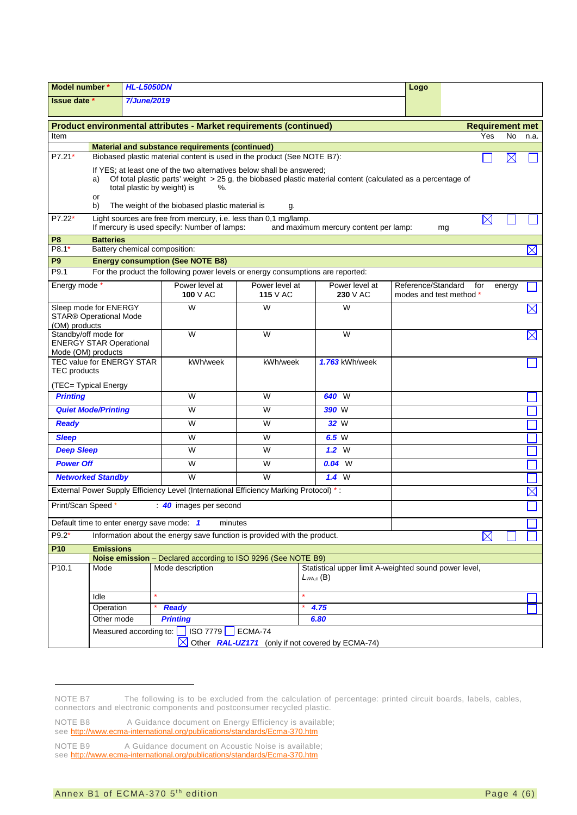|                                                                                                                                             | <b>HL-L5050DN</b><br>Model number *                                                                                                                                                        |                               |                                                                                       | Logo                       |                                                                         |                                               |     |                        |           |             |
|---------------------------------------------------------------------------------------------------------------------------------------------|--------------------------------------------------------------------------------------------------------------------------------------------------------------------------------------------|-------------------------------|---------------------------------------------------------------------------------------|----------------------------|-------------------------------------------------------------------------|-----------------------------------------------|-----|------------------------|-----------|-------------|
|                                                                                                                                             | <b>7/June/2019</b><br><b>Issue date</b> *                                                                                                                                                  |                               |                                                                                       |                            |                                                                         |                                               |     |                        |           |             |
|                                                                                                                                             |                                                                                                                                                                                            |                               |                                                                                       |                            |                                                                         |                                               |     |                        |           |             |
| Product environmental attributes - Market requirements (continued)                                                                          |                                                                                                                                                                                            |                               |                                                                                       |                            |                                                                         |                                               |     | <b>Requirement met</b> |           |             |
| Item                                                                                                                                        |                                                                                                                                                                                            |                               |                                                                                       |                            |                                                                         |                                               |     | Yes                    | <b>No</b> | n.a.        |
| <b>Material and substance requirements (continued)</b><br>P7.21*<br>Biobased plastic material content is used in the product (See NOTE B7): |                                                                                                                                                                                            |                               |                                                                                       |                            |                                                                         |                                               |     | $\boxtimes$            |           |             |
|                                                                                                                                             |                                                                                                                                                                                            |                               |                                                                                       |                            |                                                                         |                                               |     |                        |           |             |
|                                                                                                                                             | If YES; at least one of the two alternatives below shall be answered;<br>Of total plastic parts' weight > 25 g, the biobased plastic material content (calculated as a percentage of<br>a) |                               |                                                                                       |                            |                                                                         |                                               |     |                        |           |             |
|                                                                                                                                             | total plastic by weight) is<br>%.                                                                                                                                                          |                               |                                                                                       |                            |                                                                         |                                               |     |                        |           |             |
|                                                                                                                                             | or<br>b)<br>The weight of the biobased plastic material is<br>g.                                                                                                                           |                               |                                                                                       |                            |                                                                         |                                               |     |                        |           |             |
| $P7.22*$                                                                                                                                    |                                                                                                                                                                                            |                               | Light sources are free from mercury, i.e. less than 0,1 mg/lamp.                      |                            |                                                                         |                                               |     | $\boxtimes$            |           |             |
|                                                                                                                                             |                                                                                                                                                                                            |                               | If mercury is used specify: Number of lamps:                                          |                            | and maximum mercury content per lamp:                                   |                                               | mg  |                        |           |             |
| P <sub>8</sub>                                                                                                                              | <b>Batteries</b>                                                                                                                                                                           |                               |                                                                                       |                            |                                                                         |                                               |     |                        |           |             |
| $P8.1*$                                                                                                                                     |                                                                                                                                                                                            | Battery chemical composition: |                                                                                       |                            |                                                                         |                                               |     |                        |           | $\boxtimes$ |
| P <sub>9</sub>                                                                                                                              |                                                                                                                                                                                            |                               | <b>Energy consumption (See NOTE B8)</b>                                               |                            |                                                                         |                                               |     |                        |           |             |
| P9.1                                                                                                                                        |                                                                                                                                                                                            |                               | For the product the following power levels or energy consumptions are reported:       |                            |                                                                         |                                               |     |                        |           |             |
| Energy mode *                                                                                                                               |                                                                                                                                                                                            |                               | Power level at<br>100 $V$ AC                                                          | Power level at<br>115 V AC | Power level at<br>230 V AC                                              | Reference/Standard<br>modes and test method * | for |                        | energy    |             |
| Sleep mode for ENERGY                                                                                                                       |                                                                                                                                                                                            |                               | W                                                                                     | W                          | W                                                                       |                                               |     |                        |           | $\boxtimes$ |
| <b>STAR® Operational Mode</b><br>(OM) products                                                                                              |                                                                                                                                                                                            |                               |                                                                                       |                            |                                                                         |                                               |     |                        |           |             |
| Standby/off mode for                                                                                                                        |                                                                                                                                                                                            |                               | W                                                                                     | W                          | W                                                                       |                                               |     |                        |           | $\boxtimes$ |
| <b>ENERGY STAR Operational</b>                                                                                                              |                                                                                                                                                                                            |                               |                                                                                       |                            |                                                                         |                                               |     |                        |           |             |
| Mode (OM) products<br>TEC value for ENERGY STAR                                                                                             |                                                                                                                                                                                            |                               | kWh/week                                                                              | kWh/week                   | 1.763 kWh/week                                                          |                                               |     |                        |           |             |
| <b>TEC</b> products                                                                                                                         |                                                                                                                                                                                            |                               |                                                                                       |                            |                                                                         |                                               |     |                        |           |             |
| (TEC= Typical Energy                                                                                                                        |                                                                                                                                                                                            |                               |                                                                                       |                            |                                                                         |                                               |     |                        |           |             |
| <b>Printing</b>                                                                                                                             |                                                                                                                                                                                            |                               | W                                                                                     | W                          | 640 W                                                                   |                                               |     |                        |           |             |
|                                                                                                                                             | <b>Quiet Mode/Printing</b>                                                                                                                                                                 |                               | W                                                                                     | W                          | 390 W                                                                   |                                               |     |                        |           |             |
| <b>Ready</b>                                                                                                                                |                                                                                                                                                                                            |                               | W                                                                                     | W                          | 32 W                                                                    |                                               |     |                        |           |             |
| <b>Sleep</b>                                                                                                                                |                                                                                                                                                                                            |                               | W                                                                                     | W                          | 6.5 W                                                                   |                                               |     |                        |           |             |
| <b>Deep Sleep</b>                                                                                                                           |                                                                                                                                                                                            |                               | W                                                                                     | W                          | 1.2 W                                                                   |                                               |     |                        |           |             |
| <b>Power Off</b>                                                                                                                            |                                                                                                                                                                                            |                               | W                                                                                     | W                          | $0.04$ W                                                                |                                               |     |                        |           |             |
|                                                                                                                                             | <b>Networked Standby</b>                                                                                                                                                                   |                               | W                                                                                     | W                          | 1.4 W                                                                   |                                               |     |                        |           |             |
|                                                                                                                                             |                                                                                                                                                                                            |                               | External Power Supply Efficiency Level (International Efficiency Marking Protocol) *: |                            |                                                                         |                                               |     |                        |           | $\boxtimes$ |
| Print/Scan Speed *                                                                                                                          |                                                                                                                                                                                            |                               | 40 images per second                                                                  |                            |                                                                         |                                               |     |                        |           |             |
|                                                                                                                                             |                                                                                                                                                                                            |                               | Default time to enter energy save mode: 1<br>minutes                                  |                            |                                                                         |                                               |     |                        |           |             |
| P9.2*                                                                                                                                       | Information about the energy save function is provided with the product.<br>$\boxtimes$                                                                                                    |                               |                                                                                       |                            |                                                                         |                                               |     |                        |           |             |
| <b>P10</b>                                                                                                                                  | <b>Emissions</b>                                                                                                                                                                           |                               |                                                                                       |                            |                                                                         |                                               |     |                        |           |             |
| P <sub>10.1</sub>                                                                                                                           | Noise emission - Declared according to ISO 9296 (See NOTE B9)                                                                                                                              |                               |                                                                                       |                            |                                                                         |                                               |     |                        |           |             |
|                                                                                                                                             | Mode                                                                                                                                                                                       |                               | Mode description                                                                      |                            | Statistical upper limit A-weighted sound power level,<br>$L_{WA,c}$ (B) |                                               |     |                        |           |             |
|                                                                                                                                             | Idle                                                                                                                                                                                       |                               |                                                                                       |                            |                                                                         |                                               |     |                        |           |             |
|                                                                                                                                             | Operation                                                                                                                                                                                  |                               | <b>Ready</b>                                                                          |                            | 4.75                                                                    |                                               |     |                        |           |             |
|                                                                                                                                             | Other mode                                                                                                                                                                                 |                               | <b>Printing</b>                                                                       |                            | 6.80                                                                    |                                               |     |                        |           |             |
|                                                                                                                                             |                                                                                                                                                                                            |                               | Measured according to: $\Box$ ISO 7779 $\Box$                                         | ECMA-74                    |                                                                         |                                               |     |                        |           |             |
|                                                                                                                                             |                                                                                                                                                                                            |                               | ⊠                                                                                     |                            | Other RAL-UZ171 (only if not covered by ECMA-74)                        |                                               |     |                        |           |             |

<span id="page-3-0"></span>NOTE B7 The following is to be excluded from the calculation of percentage: printed circuit boards, labels, cables, connectors and electronic components and postconsumer recycled plastic.

<span id="page-3-1"></span>NOTE B8 A Guidance document on Energy Efficiency is available; see<http://www.ecma-international.org/publications/standards/Ecma-370.htm>

<span id="page-3-2"></span>NOTE B9 A Guidance document on Acoustic Noise is available; see<http://www.ecma-international.org/publications/standards/Ecma-370.htm>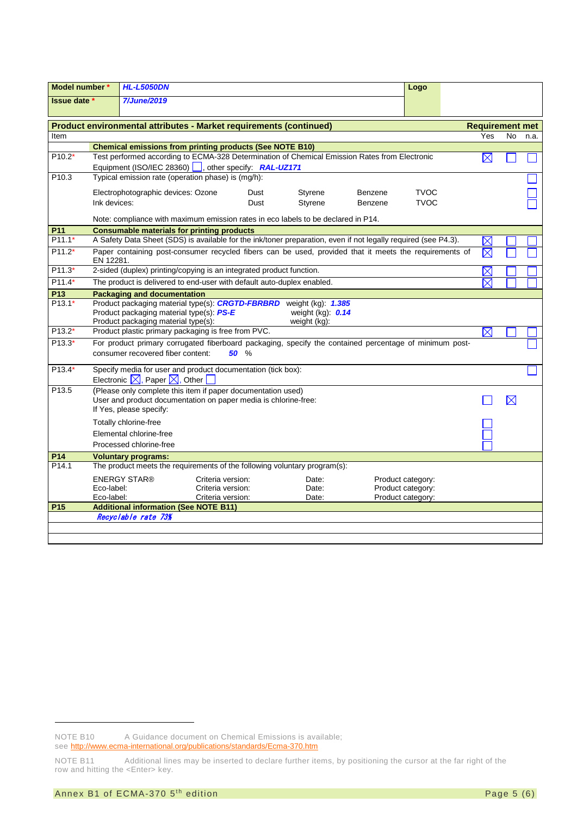| Model number *      |                                                                                                                                                                      | <b>HL-L5050DN</b>                                                                                                                   |                                                             |      |                                                                   |         | Logo                                                        |  |             |           |                        |
|---------------------|----------------------------------------------------------------------------------------------------------------------------------------------------------------------|-------------------------------------------------------------------------------------------------------------------------------------|-------------------------------------------------------------|------|-------------------------------------------------------------------|---------|-------------------------------------------------------------|--|-------------|-----------|------------------------|
| Issue date *        |                                                                                                                                                                      | <b>7/June/2019</b>                                                                                                                  |                                                             |      |                                                                   |         |                                                             |  |             |           |                        |
|                     |                                                                                                                                                                      |                                                                                                                                     |                                                             |      |                                                                   |         |                                                             |  |             |           |                        |
|                     | Product environmental attributes - Market requirements (continued)                                                                                                   |                                                                                                                                     |                                                             |      |                                                                   |         |                                                             |  |             |           | <b>Requirement met</b> |
| <b>Item</b>         |                                                                                                                                                                      |                                                                                                                                     |                                                             |      |                                                                   |         |                                                             |  | Yes         | <b>No</b> | n.a.                   |
|                     |                                                                                                                                                                      | <b>Chemical emissions from printing products (See NOTE B10)</b>                                                                     |                                                             |      |                                                                   |         |                                                             |  |             |           |                        |
| $P10.2*$            | Test performed according to ECMA-328 Determination of Chemical Emission Rates from Electronic<br>$\boxtimes$<br>Equipment (ISO/IEC 28360) , other specify: RAL-UZ171 |                                                                                                                                     |                                                             |      |                                                                   |         |                                                             |  |             |           |                        |
| P <sub>10.3</sub>   | Typical emission rate (operation phase) is (mg/h):                                                                                                                   |                                                                                                                                     |                                                             |      |                                                                   |         |                                                             |  |             |           |                        |
|                     |                                                                                                                                                                      | Electrophotographic devices: Ozone                                                                                                  |                                                             | Dust | Styrene                                                           | Benzene | <b>TVOC</b>                                                 |  |             |           |                        |
|                     | Ink devices:                                                                                                                                                         |                                                                                                                                     |                                                             | Dust | Styrene                                                           | Benzene | <b>TVOC</b>                                                 |  |             |           |                        |
|                     |                                                                                                                                                                      | Note: compliance with maximum emission rates in eco labels to be declared in P14.                                                   |                                                             |      |                                                                   |         |                                                             |  |             |           |                        |
| P <sub>11</sub>     |                                                                                                                                                                      | <b>Consumable materials for printing products</b>                                                                                   |                                                             |      |                                                                   |         |                                                             |  |             |           |                        |
| P <sub>11.1</sub> * |                                                                                                                                                                      | A Safety Data Sheet (SDS) is available for the ink/toner preparation, even if not legally required (see P4.3).                      |                                                             |      |                                                                   |         |                                                             |  |             |           |                        |
| $P11.2*$            | EN 12281.                                                                                                                                                            | Paper containing post-consumer recycled fibers can be used, provided that it meets the requirements of                              |                                                             |      |                                                                   |         |                                                             |  | $\boxtimes$ |           |                        |
| $P11.3*$            | 2-sided (duplex) printing/copying is an integrated product function.                                                                                                 |                                                                                                                                     |                                                             |      |                                                                   |         |                                                             |  | $\times$    |           |                        |
| $P11.4*$            |                                                                                                                                                                      | The product is delivered to end-user with default auto-duplex enabled.                                                              |                                                             |      |                                                                   |         |                                                             |  | $\boxtimes$ |           |                        |
| P13                 |                                                                                                                                                                      | <b>Packaging and documentation</b>                                                                                                  |                                                             |      |                                                                   |         |                                                             |  |             |           |                        |
| $P13.1*$            |                                                                                                                                                                      | Product packaging material type(s): CRGTD-FBRBRD<br>Product packaging material type(s): PS-E<br>Product packaging material type(s): |                                                             |      | weight $(kg)$ : $1.385$<br>weight $(kg)$ : $0.14$<br>weight (kg): |         |                                                             |  |             |           |                        |
| $P13.2*$            |                                                                                                                                                                      | Product plastic primary packaging is free from PVC.                                                                                 |                                                             |      |                                                                   |         |                                                             |  | $\boxtimes$ |           |                        |
| $P13.3*$            | For product primary corrugated fiberboard packaging, specify the contained percentage of minimum post-<br>consumer recovered fiber content:<br>50 %                  |                                                                                                                                     |                                                             |      |                                                                   |         |                                                             |  |             |           |                        |
| $P13.4*$            | Specify media for user and product documentation (tick box):<br>Electronic $\boxtimes$ , Paper $\boxtimes$ , Other                                                   |                                                                                                                                     |                                                             |      |                                                                   |         |                                                             |  |             |           |                        |
| P <sub>13.5</sub>   | (Please only complete this item if paper documentation used)<br>User and product documentation on paper media is chlorine-free:<br>If Yes, please specify:           |                                                                                                                                     |                                                             |      |                                                                   |         |                                                             |  |             |           |                        |
|                     | Totally chlorine-free<br>Elemental chlorine-free<br>Processed chlorine-free                                                                                          |                                                                                                                                     |                                                             |      |                                                                   |         |                                                             |  |             |           |                        |
| P14                 |                                                                                                                                                                      | <b>Voluntary programs:</b>                                                                                                          |                                                             |      |                                                                   |         |                                                             |  |             |           |                        |
| P <sub>14.1</sub>   |                                                                                                                                                                      | The product meets the requirements of the following voluntary program(s):                                                           |                                                             |      |                                                                   |         |                                                             |  |             |           |                        |
|                     | Eco-label:<br>Eco-label:                                                                                                                                             | <b>ENERGY STAR®</b>                                                                                                                 | Criteria version:<br>Criteria version:<br>Criteria version: |      | Date:<br>Date:<br>Date:                                           |         | Product category:<br>Product category:<br>Product category: |  |             |           |                        |
| P <sub>15</sub>     |                                                                                                                                                                      | <b>Additional information (See NOTE B11)</b>                                                                                        |                                                             |      |                                                                   |         |                                                             |  |             |           |                        |
|                     |                                                                                                                                                                      | Recyclable rate 73%                                                                                                                 |                                                             |      |                                                                   |         |                                                             |  |             |           |                        |
|                     |                                                                                                                                                                      |                                                                                                                                     |                                                             |      |                                                                   |         |                                                             |  |             |           |                        |
|                     |                                                                                                                                                                      |                                                                                                                                     |                                                             |      |                                                                   |         |                                                             |  |             |           |                        |

<span id="page-4-0"></span>NOTE B10 A Guidance document on Chemical Emissions is available;

see<http://www.ecma-international.org/publications/standards/Ecma-370.htm>

<span id="page-4-1"></span>NOTE B11 Additional lines may be inserted to declare further items, by positioning the cursor at the far right of the row and hitting the <Enter> key.